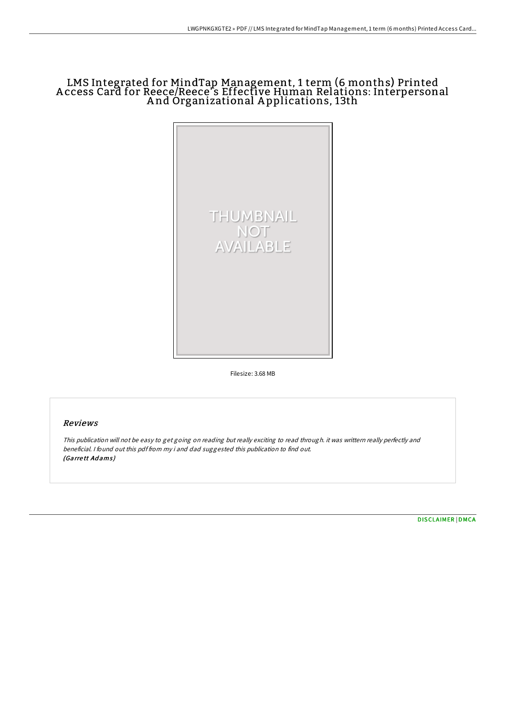# LMS Integrated for MindTap Management, 1 term (6 months) Printed A ccess Card for Reece/Reece' s Effective Human Relations: Interpersonal A nd Organizational A pplications, 13th



Filesize: 3.68 MB

## Reviews

This publication will not be easy to get going on reading but really exciting to read through. it was writtern really perfectly and beneficial. <sup>I</sup> found out this pdf from my i and dad suggested this publication to find out. (Garrett Adams)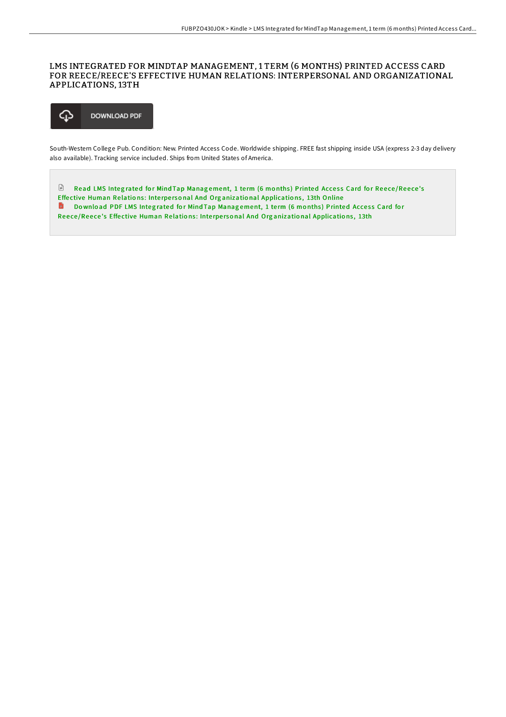## LMS INTEGRATED FOR MINDTAP MANAGEMENT, 1 TERM (6 MONTHS) PRINTED ACCESS CARD FOR REECE/REECE'S EFFECTIVE HUMAN RELATIONS: INTERPERSONAL AND ORGANIZATIONAL APPLICATIONS, 13TH



South-Western College Pub. Condition: New. Printed Access Code. Worldwide shipping. FREE fast shipping inside USA (express 2-3 day delivery also available). Tracking service included. Ships from United States of America.

 $\Box$ Read LMS Integrated for Mind Tap Management, 1 term (6 months) Printed Access Card for Reece/Reece's Effective Human Relations: Interpersonal And Organizational [Applicatio](http://almighty24.tech/lms-integrated-for-mindtap-management-1-term-6-m.html)ns, 13th Online Do wnload PDF LMS Integrated for Mind Tap Management, 1 term (6 months) Printed Access Card for Reece/Reece's Effective Human Relations: Interpersonal And Organizational [Applicatio](http://almighty24.tech/lms-integrated-for-mindtap-management-1-term-6-m.html)ns, 13th